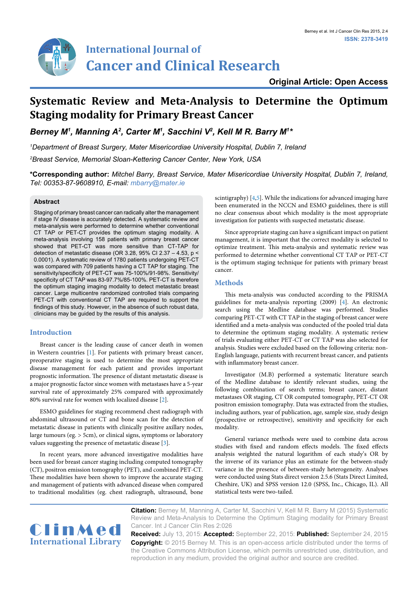# **Original Article: Open Access**

# **Systematic Review and Meta-Analysis to Determine the Optimum Staging modality for Primary Breast Cancer**

*Berney M1 , Manning A2 , Carter M1 , Sacchini V2 , Kell M R. Barry M1 \**

*1 Department of Breast Surgery, Mater Misericordiae University Hospital, Dublin 7, Ireland 2 Breast Service, Memorial Sloan-Kettering Cancer Center, New York, USA*

**\*Corresponding author:** *Mitchel Barry, Breast Service, Mater Misericordiae University Hospital, Dublin 7, Ireland, Tel: 00353-87-9608910, E-mail: mbarry@mater.ie*

#### **Abstract**

Staging of primary breast cancer can radically alter the management if stage IV disease is accurately detected. A systematic review and meta-analysis were performed to determine whether conventional CT TAP or PET-CT provides the optimum staging modality. A meta-analysis involving 158 patients with primary breast cancer showed that PET-CT was more sensitive than CT-TAP for detection of metastatic disease (OR 3.28, 95% CI 2.37 – 4.53, p < 0.0001). A systematic review of 1780 patients undergoing PET-CT was compared with 709 patients having a CT TAP for staging. The sensitivity/specificity of PET-CT was 75-100%/91-98%. Sensitivity/ specificity of CT TAP was 83-97.7%/85-100%. PET-CT is therefore the optimum staging imaging modality to detect metastatic breast cancer. Large multicentre randomized controlled trials comparing PET-CT with conventional CT TAP are required to support the findings of this study. However, in the absence of such robust data, clinicians may be guided by the results of this analysis.

### **Introduction**

Breast cancer is the leading cause of cancer death in women in Western countries [[1](#page-3-2)]. For patients with primary breast cancer, preoperative staging is used to determine the most appropriate disease management for each patient and provides important prognostic information. The presence of distant metastatic disease is a major prognostic factor since women with metastases have a 5-year survival rate of approximately 25% compared with approximately 80% survival rate for women with localized disease [\[2\]](#page-3-3).

ESMO guidelines for staging recommend chest radiograph with abdominal ultrasound or CT and bone scan for the detection of metastatic disease in patients with clinically positive axillary nodes, large tumours (eg. > 5cm), or clinical signs, symptoms or laboratory values suggesting the presence of metastatic disease [[3\]](#page-3-4).

In recent years, more advanced investigative modalities have been used for breast cancer staging including computed tomography (CT), positron emission tomography (PET), and combined PET-CT. These modalities have been shown to improve the accurate staging and management of patients with advanced disease when compared to traditional modalities (eg. chest radiograph, ultrasound, bone scintigraphy) [\[4](#page-3-0)[,5\]](#page-3-1). While the indications for advanced imaging have been enumerated in the NCCN and ESMO guidelines, there is still no clear consensus about which modality is the most appropriate investigation for patients with suspected metastatic disease.

Since appropriate staging can have a significant impact on patient management, it is important that the correct modality is selected to optimize treatment. This meta-analysis and systematic review was performed to determine whether conventional CT TAP or PET-CT is the optimum staging technique for patients with primary breast cancer.

#### **Methods**

This meta-analysis was conducted according to the PRISMA guidelines for meta-analysis reporting (2009) [\[4](#page-3-0)]. An electronic search using the Medline database was performed. Studies comparing PET-CT with CT TAP in the staging of breast cancer were identified and a meta-analysis was conducted of the pooled trial data to determine the optimum staging modality. A systematic review of trials evaluating either PET-CT or CT TAP was also selected for analysis. Studies were excluded based on the following criteria: non-English language, patients with recurrent breast cancer, and patients with inflammatory breast cancer.

Investigator (M.B) performed a systematic literature search of the Medline database to identify relevant studies, using the following combination of search terms; breast cancer, distant metastases OR staging, CT OR computed tomography, PET-CT OR positron emission tomography. Data was extracted from the studies, including authors, year of publication, age, sample size, study design (prospective or retrospective), sensitivity and specificity for each modality.

General variance methods were used to combine data across studies with fixed and random effects models. The fixed effects analysis weighted the natural logarithm of each study's OR by the inverse of its variance plus an estimate for the between-study variance in the presence of between-study heterogeneity. Analyses were conducted using Stats direct version 2.5.6 (Stats Direct Limited, Cheshire, UK) and SPSS version 12.0 (SPSS, Inc., Chicago, IL). All statistical tests were two-tailed.



**Citation:** Berney M, Manning A, Carter M, Sacchini V, Kell M R. Barry M (2015) Systematic Review and Meta-Analysis to Determine the Optimum Staging modality for Primary Breast Cancer. Int J Cancer Clin Res 2:026

**Received:** July 13, 2015: **Accepted:** September 22, 2015: **Published:** September 24, 2015 **Copyright:** © 2015 Berney M. This is an open-access article distributed under the terms of the Creative Commons Attribution License, which permits unrestricted use, distribution, and reproduction in any medium, provided the original author and source are credited.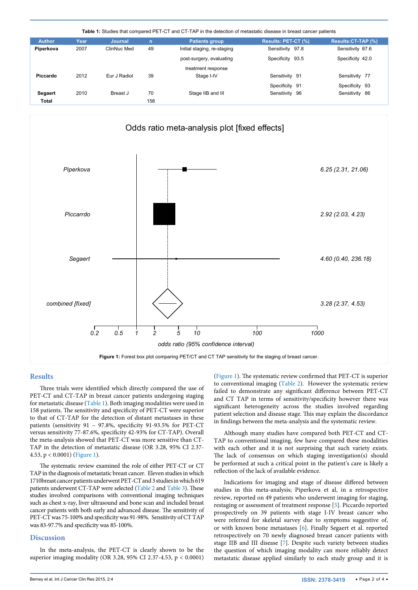<span id="page-1-1"></span>

| <b>Author</b>  | Year | <b>Journal</b> | $\mathsf{n}$ | <b>Patients group</b>       | Results: PET-CT (%) | Results: CT-TAP (%) |
|----------------|------|----------------|--------------|-----------------------------|---------------------|---------------------|
| Piperkova      | 2007 | ClinNuc Med    | 49           | Initial staging, re-staging | Sensitivity 97.8    | Sensitivity 87.6    |
|                |      |                |              | post-surgery, evaluating    | Specificity 93.5    | Specificity 42.0    |
|                |      |                |              | treatment response          |                     |                     |
| Piccardo       | 2012 | Eur J Radiol   | 39           | Stage I-IV                  | Sensitivity 91      | Sensitivity 77      |
|                |      |                |              |                             | Specificity 91      | Specificity 93      |
| <b>Segaert</b> | 2010 | Breast J       | 70           | Stage IIB and III           | Sensitivity<br>-96  | Sensitivity 86      |
| Total          |      |                | 158          |                             |                     |                     |

<span id="page-1-0"></span>

#### **Results**

Three trials were identified which directly compared the use of PET-CT and CT-TAP in breast cancer patients undergoing staging for metastatic disease [\(Table 1\)](#page-1-1). Both imaging modalities were used in 158 patients. The sensitivity and specificity of PET-CT were superior to that of CT-TAP for the detection of distant metastases in these patients (sensitivity 91 – 97.8%, specificity 91-93.5% for PET-CT versus sensitivity 77-87.6%, specificity 42-93% for CT-TAP). Overall the meta-analysis showed that PET-CT was more sensitive than CT-TAP in the detection of metastatic disease (OR 3.28, 95% CI 2.37- 4.53, p < 0.0001) [\(Figure 1](#page-1-0)).

The systematic review examined the role of either PET-CT or CT TAP in the diagnosis of metastatic breast cancer. Eleven studies in which 1710breast cancer patients underwent PET-CT and 3 studies in which 619 patients underwent CT-TAP were selected [\(Table 2](#page-2-0) and [Table 3](#page-2-1)). These studies involved comparisons with conventional imaging techniques such as chest x-ray, liver ultrasound and bone scan and included breast cancer patients with both early and advanced disease. The sensitivity of PET-CT was 75-100% and specificity was 91-98%. Sensitivity of CT TAP was 83-97.7% and specificity was 85-100%.

#### **Discussion**

In the meta-analysis, the PET-CT is clearly shown to be the superior imaging modality (OR 3.28, 95% CI 2.37-4.53, p < 0.0001) ([Figure 1\)](#page-1-0). The systematic review confirmed that PET-CT is superior to conventional imaging [\(Table 2\)](#page-2-0). However the systematic review failed to demonstrate any significant difference between PET-CT and CT TAP in terms of sensitivity/specificity however there was significant heterogeneity across the studies involved regarding patient selection and disease stage. This may explain the discordance in findings between the meta-analysis and the systematic review.

Although many studies have compared both PET-CT and CT-TAP to conventional imaging, few have compared these modalities with each other and it is not surprising that such variety exists. The lack of consensus on which staging investigation(s) should be performed at such a critical point in the patient's care is likely a reflection of the lack of available evidence.

Indications for imaging and stage of disease differed between studies in this meta-analysis; Piperkova et al, in a retrospective review, reported on 49 patients who underwent imaging for staging, restaging or assessment of treatment response [\[5](#page-3-1)]. Piccardo reported prospectively on 39 patients with stage I-IV breast cancer who were referred for skeletal survey due to symptoms suggestive of, or with known bone metastases [[6](#page-3-5)]. Finally Segaert et al. reported retrospectively on 70 newly diagnosed breast cancer patients with stage IIB and III disease [[7\]](#page-3-6). Despite such variety between studies the question of which imaging modality can more reliably detect metastatic disease applied similarly to each study group and it is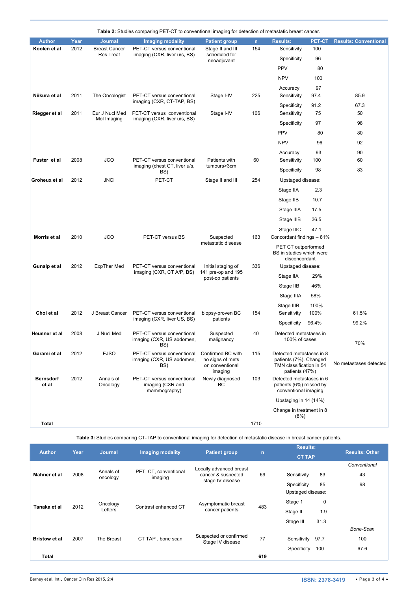<span id="page-2-0"></span>

|                           |      |                                          | Table 2: Studies comparing PET-CT to conventional imaging for detection of metastatic breast cancer. |                                                                     |              |                                                                                                  |        |                              |
|---------------------------|------|------------------------------------------|------------------------------------------------------------------------------------------------------|---------------------------------------------------------------------|--------------|--------------------------------------------------------------------------------------------------|--------|------------------------------|
| <b>Author</b>             | Year | <b>Journal</b>                           | <b>Imaging modality</b>                                                                              | <b>Patient group</b>                                                | $\mathsf{n}$ | <b>Results:</b>                                                                                  | PET-CT | <b>Results: Conventional</b> |
| Koolen et al              | 2012 | <b>Breast Cancer</b><br><b>Res Treat</b> | PET-CT versus conventional<br>imaging (CXR, liver u/s, BS)                                           | Stage II and III<br>scheduled for<br>neoadjuvant                    | 154          | Sensitivity                                                                                      | 100    |                              |
|                           |      |                                          |                                                                                                      |                                                                     |              | Specificity                                                                                      | 96     |                              |
|                           |      |                                          |                                                                                                      |                                                                     |              | <b>PPV</b>                                                                                       | 80     |                              |
|                           |      |                                          |                                                                                                      |                                                                     |              | <b>NPV</b>                                                                                       | 100    |                              |
|                           |      |                                          |                                                                                                      |                                                                     |              | Accuracy                                                                                         | 97     |                              |
| Niikura et al             | 2011 | The Oncologist                           | PET-CT versus conventional<br>imaging (CXR, CT-TAP, BS)                                              | Stage I-IV                                                          | 225          | Sensitivity                                                                                      | 97.4   | 85.9                         |
|                           |      |                                          |                                                                                                      |                                                                     |              | Specificity                                                                                      | 91.2   | 67.3                         |
| Riegger et al             | 2011 | Eur J Nucl Med<br>Mol Imaging            | PET-CT versus conventional<br>imaging (CXR, liver u/s, BS)                                           | Stage I-IV                                                          | 106          | Sensitivity                                                                                      | 75     | 50                           |
|                           |      |                                          |                                                                                                      |                                                                     |              | Specificity                                                                                      | 97     | 98                           |
|                           |      |                                          |                                                                                                      |                                                                     |              | <b>PPV</b>                                                                                       | 80     | 80                           |
|                           |      |                                          |                                                                                                      |                                                                     |              | <b>NPV</b>                                                                                       | 96     | 92                           |
|                           |      |                                          |                                                                                                      |                                                                     |              | Accuracy                                                                                         | 93     | 90                           |
| Fuster et al              | 2008 | JCO                                      | PET-CT versus conventional<br>imaging (chest CT, liver u/s,<br>BS)                                   | Patients with<br>tumours>3cm                                        | 60           | Sensitivity                                                                                      | 100    | 60                           |
|                           |      |                                          |                                                                                                      |                                                                     |              | Specificity                                                                                      | 98     | 83                           |
| Groheux et al             | 2012 | <b>JNCI</b>                              | PET-CT                                                                                               | Stage II and III                                                    | 254          | Upstaged disease:                                                                                |        |                              |
|                           |      |                                          |                                                                                                      |                                                                     |              | Stage IIA                                                                                        | 2.3    |                              |
|                           |      |                                          |                                                                                                      |                                                                     |              | Stage IIB                                                                                        | 10.7   |                              |
|                           |      |                                          |                                                                                                      |                                                                     |              | Stage IIIA                                                                                       | 17.5   |                              |
|                           |      |                                          |                                                                                                      |                                                                     |              | Stage IIIB                                                                                       | 36.5   |                              |
|                           |      |                                          |                                                                                                      |                                                                     |              | Stage IIIC                                                                                       | 47.1   |                              |
| Morris et al              | 2010 | JCO                                      | PET-CT versus BS                                                                                     | Suspected<br>metastatic disease                                     | 163          | Concordant findings - 81%                                                                        |        |                              |
|                           |      |                                          |                                                                                                      |                                                                     |              | PET CT outperformed<br>BS in studies which were<br>disconcordant                                 |        |                              |
| Gunalp et al              | 2012 | <b>ExpTher Med</b>                       | PET-CT versus conventional<br>imaging (CXR, CT A/P, BS)                                              | Initial staging of<br>141 pre-op and 195<br>post-op patients        | 336          | Upstaged disease:                                                                                |        |                              |
|                           |      |                                          |                                                                                                      |                                                                     |              | Stage IIA                                                                                        | 29%    |                              |
|                           |      |                                          |                                                                                                      |                                                                     |              | Stage IIB                                                                                        | 46%    |                              |
|                           |      |                                          |                                                                                                      |                                                                     |              | Stage IIIA                                                                                       | 58%    |                              |
|                           |      |                                          |                                                                                                      |                                                                     |              | Stage IIIB                                                                                       | 100%   |                              |
| Choi et al                | 2012 | J Breast Cancer                          | PET-CT versus conventional<br>imaging (CXR, liver US, BS)                                            | biopsy-proven BC<br>patients                                        | 154          | Sensitivity                                                                                      | 100%   | 61.5%                        |
|                           |      |                                          |                                                                                                      |                                                                     |              | Specificity                                                                                      | 96.4%  | 99.2%                        |
| Heusner et al             | 2008 | J Nucl Med                               | PET-CT versus conventional<br>imaging (CXR, US abdomen,<br>BS)                                       | Suspected<br>malignancy                                             | 40           | Detected metastases in                                                                           |        |                              |
|                           |      |                                          |                                                                                                      |                                                                     |              | 100% of cases                                                                                    |        | 70%                          |
| Garami et al              | 2012 | <b>EJSO</b>                              | PET-CT versus conventional<br>imaging (CXR, US abdomen,<br>BS)                                       | Confirmed BC with<br>no signs of mets<br>on conventional<br>imaging | 115          | Detected metastases in 8<br>patients (7%). Changed<br>TMN classification in 54<br>patients (47%) |        | No metastases detected       |
| <b>Bernsdorf</b><br>et al | 2012 | Annals of<br>Oncology                    | PET-CT versus conventional<br>imaging (CXR and<br>mammography)                                       | Newly diagnosed<br>BС                                               | 103          | Detected metastases in 6<br>patients (6%) missed by<br>conventional imaging                      |        |                              |
|                           |      |                                          |                                                                                                      |                                                                     |              | Upstaging in 14 (14%)                                                                            |        |                              |
|                           |      |                                          |                                                                                                      |                                                                     |              | Change in treatment in 8<br>(8%)                                                                 |        |                              |
| <b>Total</b>              |      |                                          |                                                                                                      |                                                                     | 1710         |                                                                                                  |        |                              |

<span id="page-2-1"></span>**Table 3:** Studies comparing CT-TAP to conventional imaging for detection of metastatic disease in breast cancer patients.

| <b>Author</b>        | Year | <b>Journal</b>        | <b>Imaging modality</b>          | <b>Patient group</b>                                              | $\mathsf{n}$ | <b>Results:</b>     | <b>Results: Other</b> |  |
|----------------------|------|-----------------------|----------------------------------|-------------------------------------------------------------------|--------------|---------------------|-----------------------|--|
|                      |      |                       |                                  |                                                                   |              | <b>CT TAP</b>       |                       |  |
| Mahner et al         | 2008 | Annals of<br>oncology | PET, CT, conventional<br>imaging | Locally advanced breast<br>cancer & suspected<br>stage IV disease | 69           |                     | Conventional          |  |
|                      |      |                       |                                  |                                                                   |              | 83<br>Sensitivity   | 43                    |  |
|                      |      |                       |                                  |                                                                   |              | 85<br>Specificity   | 98                    |  |
| Tanaka et al         | 2012 |                       | Contrast enhanced CT             | Asymptomatic breast<br>cancer patients                            | 483          | Upstaged disease:   |                       |  |
|                      |      | Oncology              |                                  |                                                                   |              | 0<br>Stage 1        |                       |  |
|                      |      | Letters               |                                  |                                                                   |              | 1.9<br>Stage II     |                       |  |
|                      |      |                       |                                  |                                                                   |              | 31.3<br>Stage III   |                       |  |
| <b>Bristow et al</b> | 2007 | The Breast            | CT TAP, bone scan                | Suspected or confirmed<br>Stage IV disease                        | 77           |                     | Bone-Scan             |  |
|                      |      |                       |                                  |                                                                   |              | 97.7<br>Sensitivity | 100                   |  |
|                      |      |                       |                                  |                                                                   |              | Specificity<br>100  | 67.6                  |  |
| <b>Total</b>         |      |                       |                                  |                                                                   | 619          |                     |                       |  |